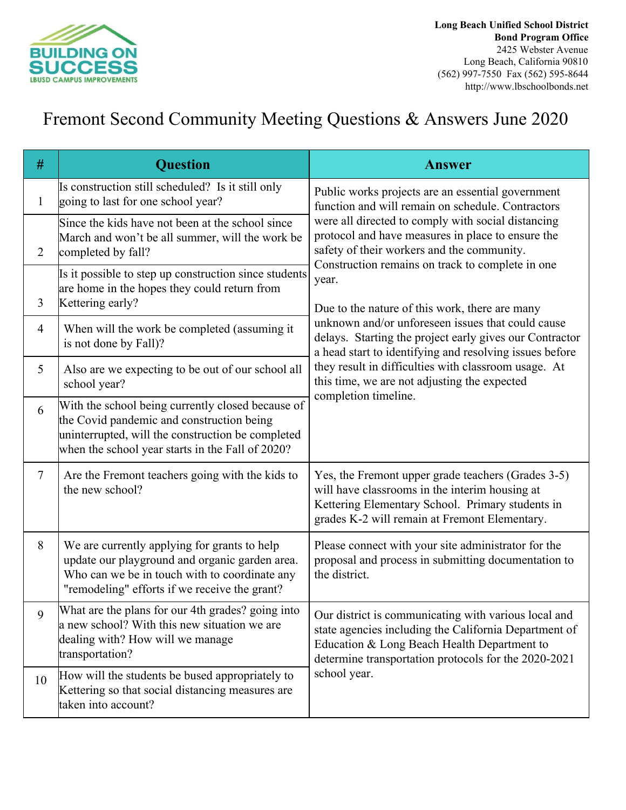

## Fremont Second Community Meeting Questions & Answers June 2020

| #              | <b>Question</b>                                                                                                                                                                                         | <b>Answer</b>                                                                                                                                                                                                                                                                                                                                                                                                                                                                                                                                                                                                                                                                             |
|----------------|---------------------------------------------------------------------------------------------------------------------------------------------------------------------------------------------------------|-------------------------------------------------------------------------------------------------------------------------------------------------------------------------------------------------------------------------------------------------------------------------------------------------------------------------------------------------------------------------------------------------------------------------------------------------------------------------------------------------------------------------------------------------------------------------------------------------------------------------------------------------------------------------------------------|
| $\mathbf{1}$   | Is construction still scheduled? Is it still only<br>going to last for one school year?                                                                                                                 | Public works projects are an essential government<br>function and will remain on schedule. Contractors<br>were all directed to comply with social distancing<br>protocol and have measures in place to ensure the<br>safety of their workers and the community.<br>Construction remains on track to complete in one<br>year.<br>Due to the nature of this work, there are many<br>unknown and/or unforeseen issues that could cause<br>delays. Starting the project early gives our Contractor<br>a head start to identifying and resolving issues before<br>they result in difficulties with classroom usage. At<br>this time, we are not adjusting the expected<br>completion timeline. |
| $\overline{2}$ | Since the kids have not been at the school since<br>March and won't be all summer, will the work be<br>completed by fall?                                                                               |                                                                                                                                                                                                                                                                                                                                                                                                                                                                                                                                                                                                                                                                                           |
| 3              | Is it possible to step up construction since students<br>are home in the hopes they could return from<br>Kettering early?                                                                               |                                                                                                                                                                                                                                                                                                                                                                                                                                                                                                                                                                                                                                                                                           |
| $\overline{4}$ | When will the work be completed (assuming it<br>is not done by Fall)?                                                                                                                                   |                                                                                                                                                                                                                                                                                                                                                                                                                                                                                                                                                                                                                                                                                           |
| 5              | Also are we expecting to be out of our school all<br>school year?                                                                                                                                       |                                                                                                                                                                                                                                                                                                                                                                                                                                                                                                                                                                                                                                                                                           |
| 6              | With the school being currently closed because of<br>the Covid pandemic and construction being<br>uninterrupted, will the construction be completed<br>when the school year starts in the Fall of 2020? |                                                                                                                                                                                                                                                                                                                                                                                                                                                                                                                                                                                                                                                                                           |
| $\overline{7}$ | Are the Fremont teachers going with the kids to<br>the new school?                                                                                                                                      | Yes, the Fremont upper grade teachers (Grades 3-5)<br>will have classrooms in the interim housing at<br>Kettering Elementary School. Primary students in<br>grades K-2 will remain at Fremont Elementary.                                                                                                                                                                                                                                                                                                                                                                                                                                                                                 |
| 8              | We are currently applying for grants to help<br>update our playground and organic garden area.<br>Who can we be in touch with to coordinate any<br>"remodeling" efforts if we receive the grant?        | Please connect with your site administrator for the<br>proposal and process in submitting documentation to<br>the district.                                                                                                                                                                                                                                                                                                                                                                                                                                                                                                                                                               |
| 9              | What are the plans for our 4th grades? going into<br>a new school? With this new situation we are<br>dealing with? How will we manage<br>transportation?                                                | Our district is communicating with various local and<br>state agencies including the California Department of<br>Education & Long Beach Health Department to<br>determine transportation protocols for the 2020-2021<br>school year.                                                                                                                                                                                                                                                                                                                                                                                                                                                      |
| 10             | How will the students be bused appropriately to<br>Kettering so that social distancing measures are<br>taken into account?                                                                              |                                                                                                                                                                                                                                                                                                                                                                                                                                                                                                                                                                                                                                                                                           |